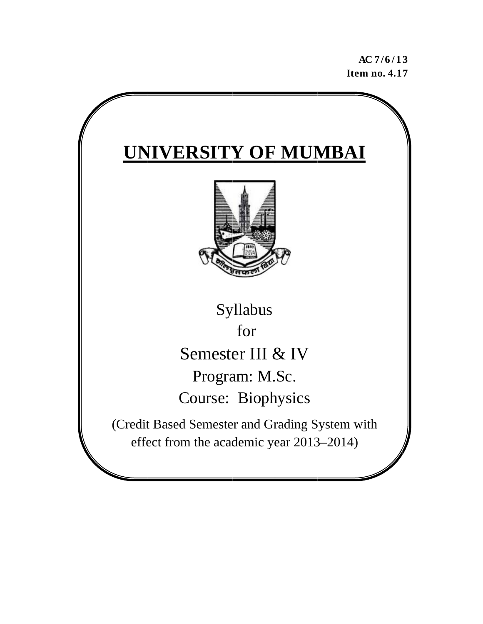**A AC 7/6 / 1 3 Ite m no. 4.1 7** 

# **UNIVERSITY OF MUMBAI** (Credit Based Semester and Grading System with effect from the academic year 2013–2014) Semester III & IV Course: Biophysics Syllabus Program: M.Sc. for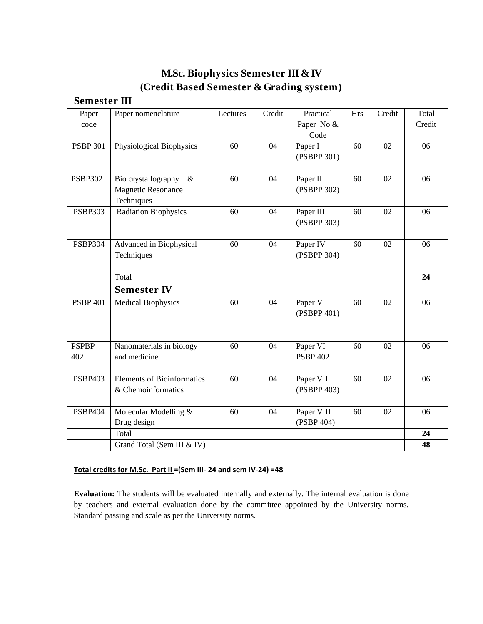# **M.Sc. Biophysics Semester III & IV (Credit Based Semester & Grading system)**

# **Semester III**

| Paper           | Paper nomenclature                | Lectures | Credit | Practical            | <b>Hrs</b> | Credit | Total  |
|-----------------|-----------------------------------|----------|--------|----------------------|------------|--------|--------|
| code            |                                   |          |        | Paper No &           |            |        | Credit |
|                 |                                   |          |        | Code                 |            |        |        |
| <b>PSBP 301</b> | Physiological Biophysics          | 60       | 04     | Paper I              | 60         | 02     | 06     |
|                 |                                   |          |        | (PSBPP 301)          |            |        |        |
|                 |                                   |          |        |                      |            |        |        |
| <b>PSBP302</b>  | Bio crystallography<br>$\&$       | 60       | 04     | Paper II             | 60         | 02     | 06     |
|                 | <b>Magnetic Resonance</b>         |          |        | (PSBPP 302)          |            |        |        |
|                 | Techniques                        |          |        |                      |            |        |        |
| <b>PSBP303</b>  | <b>Radiation Biophysics</b>       | 60       | 04     | Paper III            | 60         | 02     | 06     |
|                 |                                   |          |        | (PSBPP 303)          |            |        |        |
|                 |                                   |          |        |                      |            |        |        |
| <b>PSBP304</b>  | Advanced in Biophysical           | 60       | 04     | Paper IV             | 60         | 02     | 06     |
|                 | Techniques                        |          |        | (PSBPP 304)          |            |        |        |
|                 |                                   |          |        |                      |            |        |        |
|                 | Total                             |          |        |                      |            |        | 24     |
|                 | <b>Semester IV</b>                |          |        |                      |            |        |        |
| <b>PSBP 401</b> | <b>Medical Biophysics</b>         | 60       | 04     | Paper $\overline{V}$ | 60         | 02     | 06     |
|                 |                                   |          |        | (PSBPP 401)          |            |        |        |
|                 |                                   |          |        |                      |            |        |        |
|                 |                                   |          |        |                      |            |        |        |
| <b>PSPBP</b>    | Nanomaterials in biology          | 60       | 04     | Paper VI             | 60         | 02     | 06     |
| 402             | and medicine                      |          |        | <b>PSBP 402</b>      |            |        |        |
|                 |                                   |          |        |                      |            |        |        |
| <b>PSBP403</b>  | <b>Elements of Bioinformatics</b> | 60       | 04     | Paper VII            | 60         | 02     | 06     |
|                 | & Chemoinformatics                |          |        | (PSBPP 403)          |            |        |        |
|                 |                                   |          |        |                      |            |        |        |
| <b>PSBP404</b>  | Molecular Modelling &             | 60       | 04     | Paper VIII           | 60         | 02     | 06     |
|                 | Drug design                       |          |        | (PSBP 404)           |            |        |        |
|                 | Total                             |          |        |                      |            |        | 24     |
|                 | Grand Total (Sem III & IV)        |          |        |                      |            |        | 48     |

# **Total credits for M.Sc. Part II =(Sem III‐ 24 and sem IV‐24) =48**

**Evaluation:** The students will be evaluated internally and externally. The internal evaluation is done by teachers and external evaluation done by the committee appointed by the University norms. Standard passing and scale as per the University norms.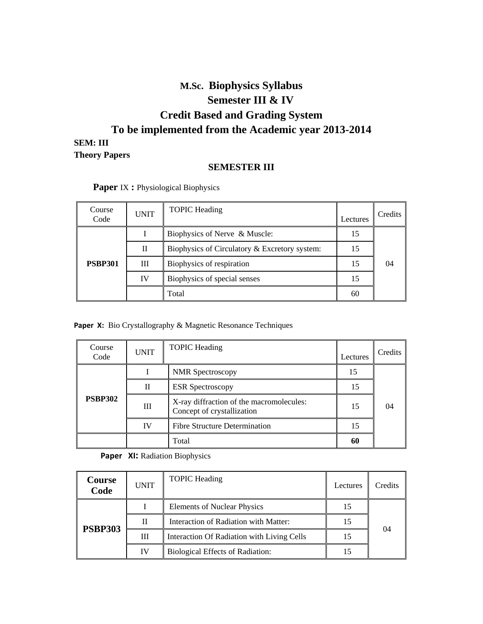# **M.Sc. Biophysics Syllabus Semester III & IV Credit Based and Grading System To be implemented from the Academic year 2013-2014 SEM: III Theory Papers**

# **SEMESTER III**

| Course<br>Code | <b>UNIT</b> | <b>TOPIC</b> Heading                          | Lectures | Credits |
|----------------|-------------|-----------------------------------------------|----------|---------|
|                |             | Biophysics of Nerve & Muscle:                 | 15       |         |
|                | П           | Biophysics of Circulatory & Excretory system: |          |         |
| <b>PSBP301</b> | Ш           | Biophysics of respiration                     | 15       | 04      |
|                | IV          | Biophysics of special senses                  | 15       |         |
|                |             | Total                                         | 60       |         |

 **Paper** IX **:** Physiological Biophysics

#### **Paper X:** Bio Crystallography & Magnetic Resonance Techniques

| Course<br>Code | <b>UNIT</b> | <b>TOPIC</b> Heading                                                   | Lectures | Credits |
|----------------|-------------|------------------------------------------------------------------------|----------|---------|
|                |             | <b>NMR</b> Spectroscopy                                                | 15       |         |
|                | П           | <b>ESR</b> Spectroscopy                                                | 15       |         |
| <b>PSBP302</b> | Ш           | X-ray diffraction of the macromolecules:<br>Concept of crystallization | 15       | 04      |
|                | IV          | <b>Fibre Structure Determination</b>                                   |          |         |
|                |             | Total                                                                  | 60       |         |

**Paper XI:** Radiation Biophysics

| Course<br>Code | <b>UNIT</b> | <b>TOPIC</b> Heading                       | Lectures | Credits |
|----------------|-------------|--------------------------------------------|----------|---------|
| <b>PSBP303</b> |             | <b>Elements of Nuclear Physics</b>         | 15       |         |
|                | П           | Interaction of Radiation with Matter:      | 15       | 04      |
|                | Ш           | Interaction Of Radiation with Living Cells | 15       |         |
|                | IV          | Biological Effects of Radiation:           |          |         |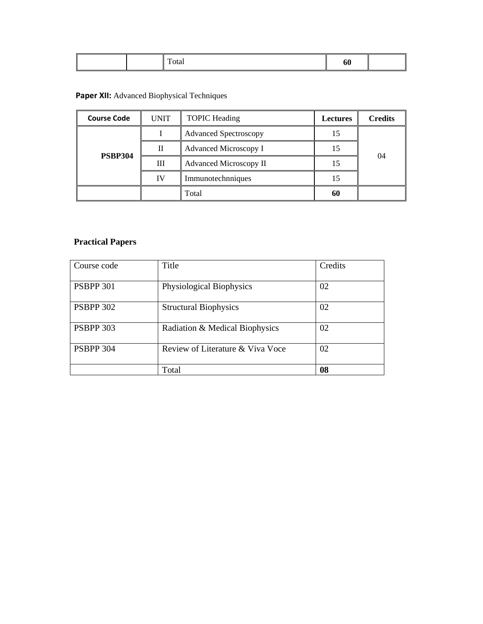# **Paper XII:** Advanced Biophysical Techniques

| <b>TOPIC Heading</b><br><b>Course Code</b><br><b>UNIT</b> |    | <b>Lectures</b>               | <b>Credits</b> |    |  |
|-----------------------------------------------------------|----|-------------------------------|----------------|----|--|
|                                                           |    | <b>Advanced Spectroscopy</b>  | 15             |    |  |
| <b>PSBP304</b>                                            | Н  | Advanced Microscopy I         |                |    |  |
|                                                           | Ш  | <b>Advanced Microscopy II</b> |                | 04 |  |
|                                                           | IV | Immunotechnniques             | 15             |    |  |
|                                                           |    | Total                         | 60             |    |  |

# **Practical Papers**

| Course code      | Title                            | Credits |
|------------------|----------------------------------|---------|
| <b>PSBPP 301</b> | Physiological Biophysics         | 02      |
| <b>PSBPP 302</b> | <b>Structural Biophysics</b>     | 02      |
| <b>PSBPP 303</b> | Radiation & Medical Biophysics   | 02      |
| <b>PSBPP 304</b> | Review of Literature & Viva Voce | 02      |
|                  | Total                            | 08      |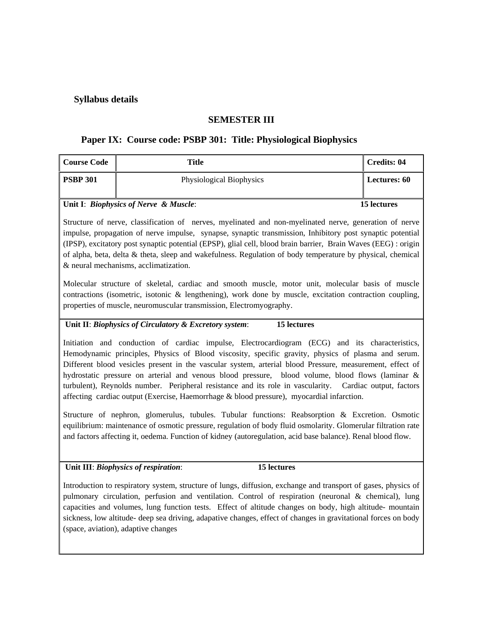# **Syllabus details**

# **SEMESTER III**

## **Paper IX: Course code: PSBP 301: Title: Physiological Biophysics**

| <b>Course Code</b>                    | Title                    | Credits: 04         |
|---------------------------------------|--------------------------|---------------------|
| <b>PSBP 301</b>                       | Physiological Biophysics | <b>Lectures: 60</b> |
| Unit I: Biophysics of Nerve & Muscle: |                          | 15 lectures         |

Structure of nerve, classification of nerves, myelinated and non-myelinated nerve, generation of nerve impulse, propagation of nerve impulse, synapse, synaptic transmission, Inhibitory post synaptic potential (IPSP), excitatory post synaptic potential (EPSP), glial cell, blood brain barrier, Brain Waves (EEG) : origin of alpha, beta, delta & theta, sleep and wakefulness. Regulation of body temperature by physical, chemical & neural mechanisms, acclimatization.

Molecular structure of skeletal, cardiac and smooth muscle, motor unit, molecular basis of muscle contractions (isometric, isotonic & lengthening), work done by muscle, excitation contraction coupling, properties of muscle, neuromuscular transmission, Electromyography.

#### **Unit II**: *Biophysics of Circulatory & Excretory system*: **15 lectures**

Initiation and conduction of cardiac impulse, Electrocardiogram (ECG) and its characteristics, Hemodynamic principles, Physics of Blood viscosity, specific gravity, physics of plasma and serum. Different blood vesicles present in the vascular system, arterial blood Pressure, measurement, effect of hydrostatic pressure on arterial and venous blood pressure, blood volume, blood flows (laminar & turbulent), Reynolds number. Peripheral resistance and its role in vascularity. Cardiac output, factors affecting cardiac output (Exercise, Haemorrhage & blood pressure), myocardial infarction.

Structure of nephron, glomerulus, tubules. Tubular functions: Reabsorption & Excretion. Osmotic equilibrium: maintenance of osmotic pressure, regulation of body fluid osmolarity. Glomerular filtration rate and factors affecting it, oedema. Function of kidney (autoregulation, acid base balance). Renal blood flow.

**Unit III**: *Biophysics of respiration*: **15 lectures**

Introduction to respiratory system, structure of lungs, diffusion, exchange and transport of gases, physics of pulmonary circulation, perfusion and ventilation. Control of respiration (neuronal & chemical), lung capacities and volumes, lung function tests. Effect of altitude changes on body, high altitude- mountain sickness, low altitude- deep sea driving, adapative changes, effect of changes in gravitational forces on body (space, aviation), adaptive changes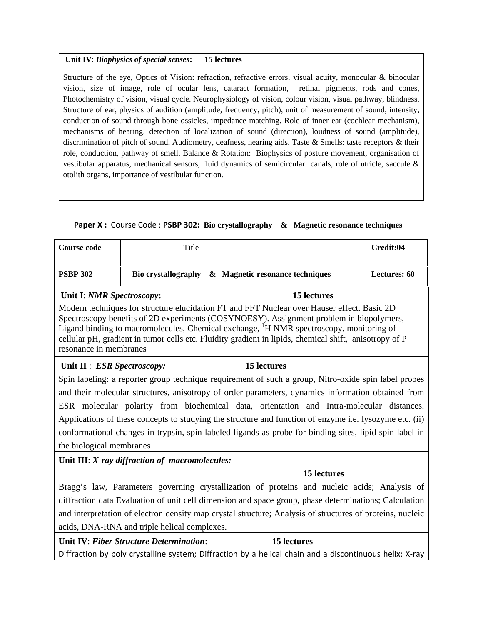#### **Unit IV**: *Biophysics of special senses***: 15 lectures**

Structure of the eye, Optics of Vision: refraction, refractive errors, visual acuity, monocular & binocular vision, size of image, role of ocular lens, cataract formation, retinal pigments, rods and cones, Photochemistry of vision, visual cycle. Neurophysiology of vision, colour vision, visual pathway, blindness. Structure of ear, physics of audition (amplitude, frequency, pitch), unit of measurement of sound, intensity, conduction of sound through bone ossicles, impedance matching. Role of inner ear (cochlear mechanism), mechanisms of hearing, detection of localization of sound (direction), loudness of sound (amplitude), discrimination of pitch of sound, Audiometry, deafness, hearing aids. Taste & Smells: taste receptors & their role, conduction, pathway of smell. Balance & Rotation: Biophysics of posture movement, organisation of vestibular apparatus, mechanical sensors, fluid dynamics of semicircular canals, role of utricle, saccule & otolith organs, importance of vestibular function.

# **Paper X :** Course Code : **PSBP 302: Bio crystallography & Magnetic resonance techniques**

| <b>Course code</b>          | Title                                          |                                                                                                                                                                                                                                                                                                                                                                                                         | Credit:04           |
|-----------------------------|------------------------------------------------|---------------------------------------------------------------------------------------------------------------------------------------------------------------------------------------------------------------------------------------------------------------------------------------------------------------------------------------------------------------------------------------------------------|---------------------|
| <b>PSBP 302</b>             | <b>Bio crystallography</b>                     | & Magnetic resonance techniques                                                                                                                                                                                                                                                                                                                                                                         | <b>Lectures: 60</b> |
| Unit I: NMR Spectroscopy:   |                                                | 15 lectures                                                                                                                                                                                                                                                                                                                                                                                             |                     |
| resonance in membranes      |                                                | Modern techniques for structure elucidation FT and FFT Nuclear over Hauser effect. Basic 2D<br>Spectroscopy benefits of 2D experiments (COSYNOESY). Assignment problem in biopolymers,<br>Ligand binding to macromolecules, Chemical exchange, <sup>1</sup> H NMR spectroscopy, monitoring of<br>cellular pH, gradient in tumor cells etc. Fluidity gradient in lipids, chemical shift, anisotropy of P |                     |
| Unit II : ESR Spectroscopy: |                                                | <b>15 lectures</b>                                                                                                                                                                                                                                                                                                                                                                                      |                     |
|                             |                                                | Spin labeling: a reporter group technique requirement of such a group, Nitro-oxide spin label probes                                                                                                                                                                                                                                                                                                    |                     |
|                             |                                                | and their molecular structures, anisotropy of order parameters, dynamics information obtained from                                                                                                                                                                                                                                                                                                      |                     |
|                             |                                                | ESR molecular polarity from biochemical data, orientation and Intra-molecular distances.                                                                                                                                                                                                                                                                                                                |                     |
|                             |                                                | Applications of these concepts to studying the structure and function of enzyme i.e. lysozyme etc. (ii)                                                                                                                                                                                                                                                                                                 |                     |
|                             |                                                | conformational changes in trypsin, spin labeled ligands as probe for binding sites, lipid spin label in                                                                                                                                                                                                                                                                                                 |                     |
| the biological membranes    |                                                |                                                                                                                                                                                                                                                                                                                                                                                                         |                     |
|                             | Unit III: X-ray diffraction of macromolecules: |                                                                                                                                                                                                                                                                                                                                                                                                         |                     |
|                             |                                                | 15 lectures                                                                                                                                                                                                                                                                                                                                                                                             |                     |
|                             |                                                | Bragg's law, Parameters governing crystallization of proteins and nucleic acids; Analysis of                                                                                                                                                                                                                                                                                                            |                     |
|                             |                                                | diffraction data Evaluation of unit cell dimension and space group, phase determinations; Calculation                                                                                                                                                                                                                                                                                                   |                     |
|                             |                                                | and interpretation of electron density map crystal structure; Analysis of structures of proteins, nucleic                                                                                                                                                                                                                                                                                               |                     |
|                             | acids, DNA-RNA and triple helical complexes.   |                                                                                                                                                                                                                                                                                                                                                                                                         |                     |
|                             | Unit IV: Fiber Structure Determination:        | 15 lectures                                                                                                                                                                                                                                                                                                                                                                                             |                     |

Diffraction by poly crystalline system; Diffraction by a helical chain and a discontinuous helix; X-ray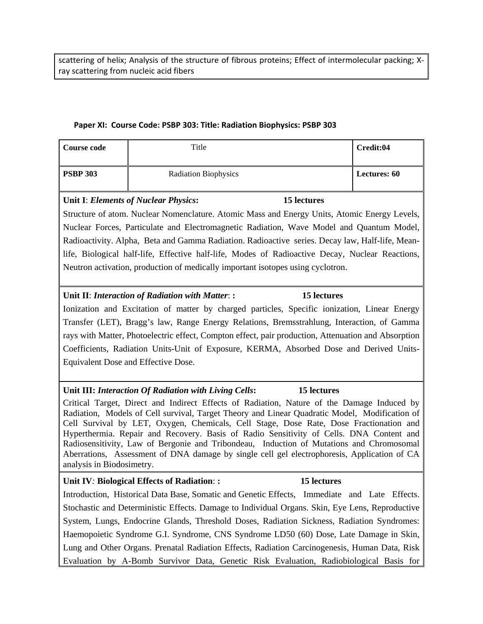scattering of helix; Analysis of the structure of fibrous proteins; Effect of intermolecular packing; Xray scattering from nucleic acid fibers

#### **Paper XI: Course Code: PSBP 303: Title: Radiation Biophysics: PSBP 303**

| Course code     | Title                       | Credit:04           |
|-----------------|-----------------------------|---------------------|
| <b>PSBP 303</b> | <b>Radiation Biophysics</b> | <b>Lectures: 60</b> |

#### **Unit I**: *Elements of Nuclear Physics***: 15 lectures**

Structure of atom. Nuclear Nomenclature. Atomic Mass and Energy Units, Atomic Energy Levels, Nuclear Forces, Particulate and Electromagnetic Radiation, Wave Model and Quantum Model, Radioactivity. Alpha, Beta and Gamma Radiation. Radioactive series. Decay law, Half-life, Meanlife, Biological half-life, Effective half-life, Modes of Radioactive Decay, Nuclear Reactions, Neutron activation, production of medically important isotopes using cyclotron.

## **Unit II**: *Interaction of Radiation with Matter*: **: 15 lectures**

Ionization and Excitation of matter by charged particles, Specific ionization, Linear Energy Transfer (LET), Bragg's law, Range Energy Relations, Bremsstrahlung, Interaction, of Gamma rays with Matter, Photoelectric effect, Compton effect, pair production, Attenuation and Absorption Coefficients, Radiation Units-Unit of Exposure, KERMA, Absorbed Dose and Derived Units-Equivalent Dose and Effective Dose.

#### **Unit III:** *Interaction Of Radiation with Living Cells***: 15 lectures**

Critical Target, Direct and Indirect Effects of Radiation, Nature of the Damage Induced by Radiation, Models of Cell survival, Target Theory and Linear Quadratic Model, Modification of Cell Survival by LET, Oxygen, Chemicals, Cell Stage, Dose Rate, Dose Fractionation and Hyperthermia. Repair and Recovery. Basis of Radio Sensitivity of Cells. DNA Content and Radiosensitivity, Law of Bergonie and Tribondeau, Induction of Mutations and Chromosomal Aberrations, Assessment of DNA damage by single cell gel electrophoresis, Application of CA analysis in Biodosimetry.

#### **Unit IV***:* **Biological Effects of Radiation**: **: 15 lectures**

Introduction, Historical Data Base, Somatic and Genetic Effects, Immediate and Late Effects. Stochastic and Deterministic Effects. Damage to Individual Organs. Skin, Eye Lens, Reproductive System, Lungs, Endocrine Glands, Threshold Doses, Radiation Sickness, Radiation Syndromes: Haemopoietic Syndrome G.I. Syndrome, CNS Syndrome LD50 (60) Dose, Late Damage in Skin, Lung and Other Organs. Prenatal Radiation Effects, Radiation Carcinogenesis, Human Data, Risk Evaluation by A-Bomb Survivor Data, Genetic Risk Evaluation, Radiobiological Basis for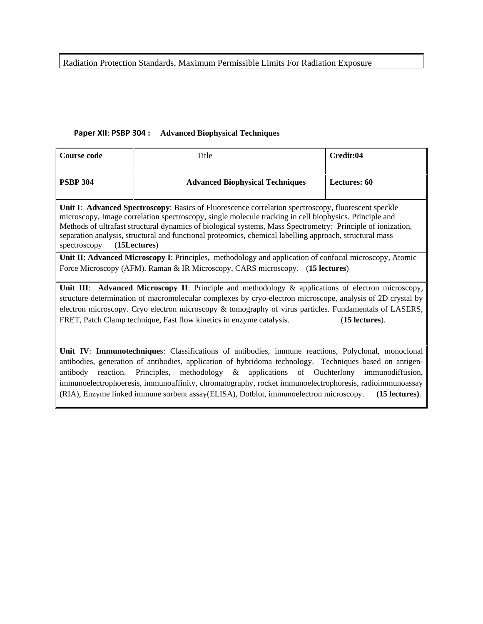Radiation Protection Standards, Maximum Permissible Limits For Radiation Exposure

# **Paper XII**: **PSBP 304 : Advanced Biophysical Techniques**

| <b>Course code</b>                                                                                                                                                                                                                                                                                                                                                                                                                                                      | Title                                                                                                                                                                                   | Credit:04           |  |  |  |
|-------------------------------------------------------------------------------------------------------------------------------------------------------------------------------------------------------------------------------------------------------------------------------------------------------------------------------------------------------------------------------------------------------------------------------------------------------------------------|-----------------------------------------------------------------------------------------------------------------------------------------------------------------------------------------|---------------------|--|--|--|
| <b>PSBP 304</b>                                                                                                                                                                                                                                                                                                                                                                                                                                                         | <b>Advanced Biophysical Techniques</b>                                                                                                                                                  | <b>Lectures: 60</b> |  |  |  |
| Unit I: Advanced Spectroscopy: Basics of Fluorescence correlation spectroscopy, fluorescent speckle<br>microscopy, Image correlation spectroscopy, single molecule tracking in cell biophysics. Principle and<br>Methods of ultrafast structural dynamics of biological systems, Mass Spectrometry: Principle of ionization,<br>separation analysis, structural and functional proteomics, chemical labelling approach, structural mass<br>(15Lectures)<br>spectroscopy |                                                                                                                                                                                         |                     |  |  |  |
|                                                                                                                                                                                                                                                                                                                                                                                                                                                                         | Unit II: Advanced Microscopy I: Principles, methodology and application of confocal microscopy, Atomic<br>Force Microscopy (AFM). Raman & IR Microscopy, CARS microscopy. (15 lectures) |                     |  |  |  |
| Unit III: Advanced Microscopy II: Principle and methodology & applications of electron microscopy,<br>structure determination of macromolecular complexes by cryo-electron microscope, analysis of 2D crystal by<br>electron microscopy. Cryo electron microscopy & tomography of virus particles. Fundamentals of LASERS,<br>FRET, Patch Clamp technique, Fast flow kinetics in enzyme catalysis.<br>$(15$ lectures).                                                  |                                                                                                                                                                                         |                     |  |  |  |
| Unit IV: Immunotechniques: Classifications of antibodies, immune reactions, Polyclonal, monoclonal<br>antibodies, generation of antibodies, application of hybridoma technology. Techniques based on antigen-<br>reaction. Principles, methodology & applications of Ouchterlony<br>immunodiffusion,<br>antibody<br>immunoelectrophoeresis, immunoaffinity, chromatography, rocket immunoelectrophoresis, radioimmunoassay                                              |                                                                                                                                                                                         |                     |  |  |  |

(RIA), Enzyme linked immune sorbent assay(ELISA), Dotblot, immunoelectron microscopy. (**15 lectures)**.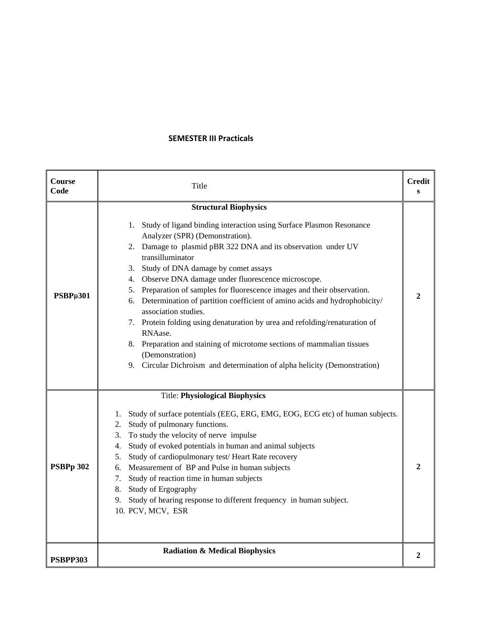#### **SEMESTER III Practicals**

| Course<br>Code | Title                                                                                                                                                                                                                                                                                                                                                                                                                                                                                                                                                                                                                                                                                                                                                                                    | <b>Credit</b><br>S |
|----------------|------------------------------------------------------------------------------------------------------------------------------------------------------------------------------------------------------------------------------------------------------------------------------------------------------------------------------------------------------------------------------------------------------------------------------------------------------------------------------------------------------------------------------------------------------------------------------------------------------------------------------------------------------------------------------------------------------------------------------------------------------------------------------------------|--------------------|
| PSBPp301       | <b>Structural Biophysics</b><br>1. Study of ligand binding interaction using Surface Plasmon Resonance<br>Analyzer (SPR) (Demonstration).<br>2. Damage to plasmid pBR 322 DNA and its observation under UV<br>transilluminator<br>3. Study of DNA damage by comet assays<br>4. Observe DNA damage under fluorescence microscope.<br>5. Preparation of samples for fluorescence images and their observation.<br>6. Determination of partition coefficient of amino acids and hydrophobicity/<br>association studies.<br>7. Protein folding using denaturation by urea and refolding/renaturation of<br>RNAase.<br>8. Preparation and staining of microtome sections of mammalian tissues<br>(Demonstration)<br>9. Circular Dichroism and determination of alpha helicity (Demonstration) | $\mathbf{2}$       |
| PSBPp 302      | <b>Title: Physiological Biophysics</b><br>Study of surface potentials (EEG, ERG, EMG, EOG, ECG etc) of human subjects.<br>1.<br>Study of pulmonary functions.<br>2.<br>3. To study the velocity of nerve impulse<br>Study of evoked potentials in human and animal subjects<br>4.<br>Study of cardiopulmonary test/Heart Rate recovery<br>5.<br>6. Measurement of BP and Pulse in human subjects<br>Study of reaction time in human subjects<br>7.<br>8. Study of Ergography<br>Study of hearing response to different frequency in human subject.<br>9.<br>10. PCV, MCV, ESR                                                                                                                                                                                                            | $\mathbf{2}$       |
| PSBPP303       | <b>Radiation &amp; Medical Biophysics</b>                                                                                                                                                                                                                                                                                                                                                                                                                                                                                                                                                                                                                                                                                                                                                | 2                  |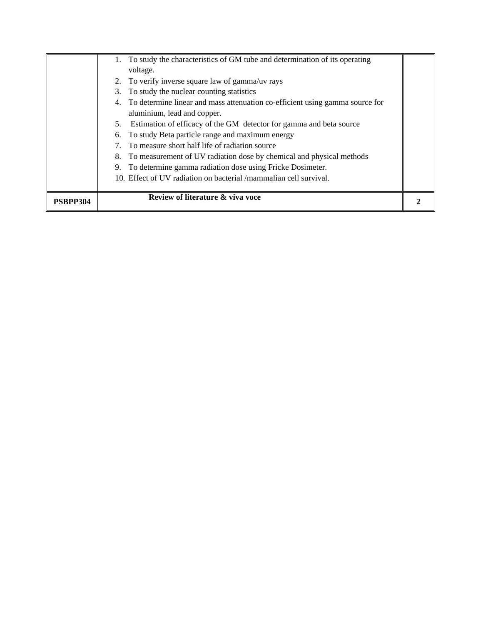|                 | 1. To study the characteristics of GM tube and determination of its operating   |  |
|-----------------|---------------------------------------------------------------------------------|--|
|                 | voltage.                                                                        |  |
|                 | 2. To verify inverse square law of gamma/uv rays                                |  |
|                 | 3. To study the nuclear counting statistics                                     |  |
|                 | 4. To determine linear and mass attenuation co-efficient using gamma source for |  |
|                 | aluminium, lead and copper.                                                     |  |
|                 | 5. Estimation of efficacy of the GM detector for gamma and beta source          |  |
|                 | 6. To study Beta particle range and maximum energy                              |  |
|                 | 7. To measure short half life of radiation source                               |  |
|                 | 8. To measurement of UV radiation dose by chemical and physical methods         |  |
|                 | 9. To determine gamma radiation dose using Fricke Dosimeter.                    |  |
|                 | 10. Effect of UV radiation on bacterial /mammalian cell survival.               |  |
|                 |                                                                                 |  |
| <b>PSBPP304</b> | Review of literature & viva voce                                                |  |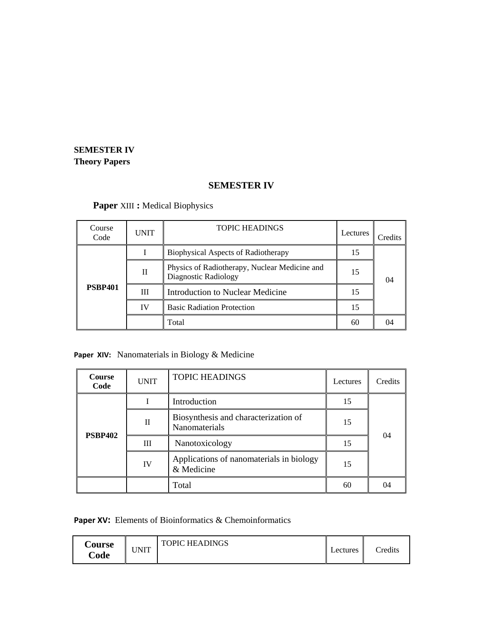# **SEMESTER IV Theory Papers**

# **SEMESTER IV**

# **Paper** XIII **:** Medical Biophysics

| Course<br>Code | <b>UNIT</b> | <b>TOPIC HEADINGS</b>                                                 | Lectures | Credits |
|----------------|-------------|-----------------------------------------------------------------------|----------|---------|
|                |             | <b>Biophysical Aspects of Radiotherapy</b>                            | 15       |         |
|                | $_{\rm II}$ | Physics of Radiotherapy, Nuclear Medicine and<br>Diagnostic Radiology | 15       | 04      |
| <b>PSBP401</b> | Ш           | <b>Introduction to Nuclear Medicine</b>                               | 15       |         |
|                | IV          | <b>Basic Radiation Protection</b>                                     | 15       |         |
|                |             | Total                                                                 | 60       | 04      |

# Paper XIV: Nanomaterials in Biology & Medicine

| <b>Course</b><br>Code | <b>UNIT</b> | <b>TOPIC HEADINGS</b>                                  | Lectures | Credits |
|-----------------------|-------------|--------------------------------------------------------|----------|---------|
|                       |             | Introduction                                           | 15       |         |
| <b>PSBP402</b>        | П           | Biosynthesis and characterization of<br>Nanomaterials  | 15       | 04      |
|                       | III         | Nanotoxicology                                         | 15       |         |
|                       | IV          | Applications of nanomaterials in biology<br>& Medicine | 15       |         |
|                       |             | Total                                                  | 60       | 04      |

**Paper XV:** Elements of Bioinformatics & Chemoinformatics

| <b>Course</b><br>Code | JNIT | <b>TOPIC HEADINGS</b> | Lectures | Credits |
|-----------------------|------|-----------------------|----------|---------|
|-----------------------|------|-----------------------|----------|---------|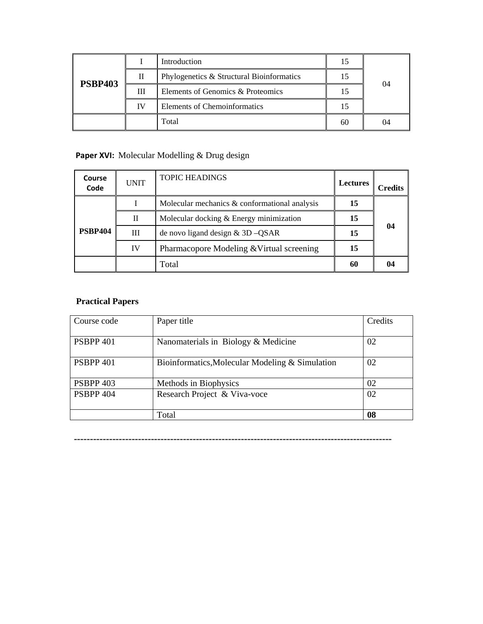| <b>PSBP403</b> |    | Introduction                              | 15 |    |
|----------------|----|-------------------------------------------|----|----|
|                | Н  | Phylogenetics & Structural Bioinformatics | 15 | 04 |
|                | Ш  | Elements of Genomics & Proteomics         | 15 |    |
|                | ΙV | Elements of Chemoinformatics              | 15 |    |
|                |    | Total                                     | 60 | 04 |

# Paper XVI: Molecular Modelling & Drug design

| Course<br>Code | UNIT | <b>TOPIC HEADINGS</b>                         | <b>Lectures</b> | <b>Credits</b> |
|----------------|------|-----------------------------------------------|-----------------|----------------|
|                |      | Molecular mechanics & conformational analysis | 15              |                |
|                | П    | Molecular docking & Energy minimization       | 15              |                |
| <b>PSBP404</b> | Ш    | de novo ligand design $& 3D - QSAR$           | 15              | 04             |
|                | IV   | Pharmacopore Modeling & Virtual screening     | 15              |                |
|                |      | Total                                         | 60              | $\mathbf{0}$   |

# **Practical Papers**

| Course code          | Paper title                                     | Credits |
|----------------------|-------------------------------------------------|---------|
| PSBPP <sub>401</sub> | Nanomaterials in Biology & Medicine             | 02      |
| PSBPP <sub>401</sub> | Bioinformatics, Molecular Modeling & Simulation | 02      |
| <b>PSBPP 403</b>     | Methods in Biophysics                           | 02      |
| <b>PSBPP 404</b>     | Research Project & Viva-voce                    | 02      |
|                      | Total                                           | 08      |

**---------------------------------------------------------------------------------------------------**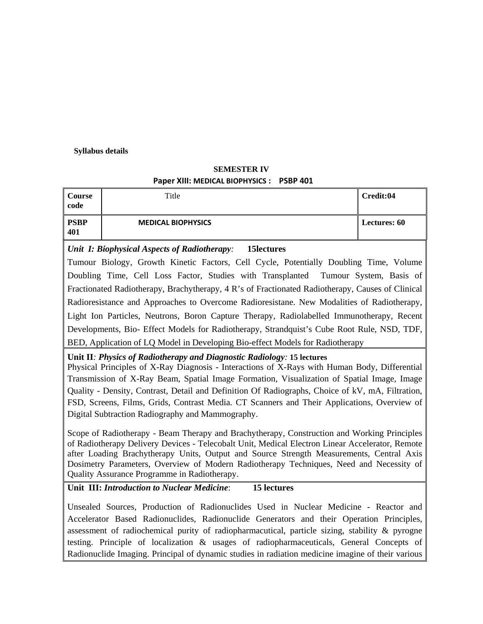#### **Syllabus details**

# **SEMESTER IV Paper XIII: MEDICAL BIOPHYSICS : PSBP 401**

| Course<br>code     | Title                     | Credit:04           |
|--------------------|---------------------------|---------------------|
| <b>PSBP</b><br>401 | <b>MEDICAL BIOPHYSICS</b> | <b>Lectures: 60</b> |

# *Unit I: Biophysical Aspects of Radiotherapy:* **15lectures**

Tumour Biology, Growth Kinetic Factors, Cell Cycle, Potentially Doubling Time, Volume Doubling Time, Cell Loss Factor, Studies with Transplanted Tumour System, Basis of Fractionated Radiotherapy, Brachytherapy, 4 R's of Fractionated Radiotherapy, Causes of Clinical Radioresistance and Approaches to Overcome Radioresistane. New Modalities of Radiotherapy, Light Ion Particles, Neutrons, Boron Capture Therapy, Radiolabelled Immunotherapy, Recent Developments, Bio- Effect Models for Radiotherapy, Strandquist's Cube Root Rule, NSD, TDF, BED, Application of LQ Model in Developing Bio-effect Models for Radiotherapy

#### **Unit II***: Physics of Radiotherapy and Diagnostic Radiology:* **15 lectures**

Physical Principles of X-Ray Diagnosis - Interactions of X-Rays with Human Body, Differential Transmission of X-Ray Beam, Spatial Image Formation, Visualization of Spatial Image, Image Quality - Density, Contrast, Detail and Definition Of Radiographs, Choice of kV, mA, Filtration, FSD, Screens, Films, Grids, Contrast Media. CT Scanners and Their Applications, Overview of Digital Subtraction Radiography and Mammography.

Scope of Radiotherapy - Beam Therapy and Brachytherapy, Construction and Working Principles of Radiotherapy Delivery Devices - Telecobalt Unit, Medical Electron Linear Accelerator, Remote after Loading Brachytherapy Units, Output and Source Strength Measurements, Central Axis Dosimetry Parameters, Overview of Modern Radiotherapy Techniques, Need and Necessity of Quality Assurance Programme in Radiotherapy.

# **Unit III:** *Introduction to Nuclear Medicine*: **15 lectures**

Unsealed Sources, Production of Radionuclides Used in Nuclear Medicine - Reactor and Accelerator Based Radionuclides, Radionuclide Generators and their Operation Principles, assessment of radiochemical purity of radiopharmacutical, particle sizing, stability & pyrogne testing. Principle of localization & usages of radiopharmaceuticals, General Concepts of Radionuclide Imaging. Principal of dynamic studies in radiation medicine imagine of their various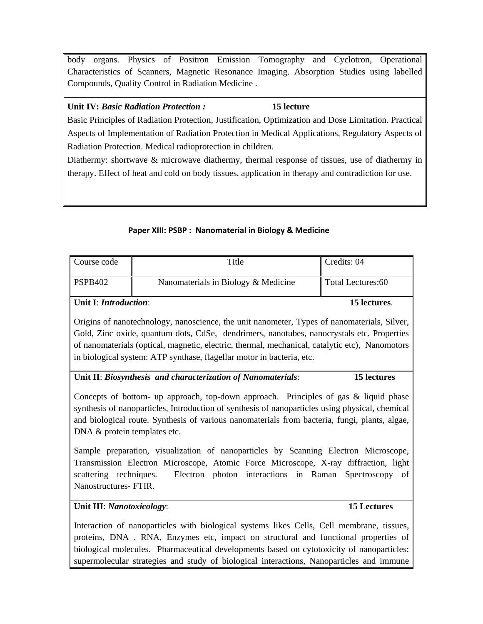body organs. Physics of Positron Emission Tomography and Cyclotron, Operational Characteristics of Scanners, Magnetic Resonance Imaging. Absorption Studies using labelled Compounds, Quality Control in Radiation Medicine .

## **Unit IV:** *Basic Radiation Protection :* **15 lecture**

Basic Principles of Radiation Protection, Justification, Optimization and Dose Limitation. Practical Aspects of Implementation of Radiation Protection in Medical Applications, Regulatory Aspects of Radiation Protection. Medical radioprotection in children.

Diathermy: shortwave & microwave diathermy, thermal response of tissues, use of diathermy in therapy. Effect of heat and cold on body tissues, application in therapy and contradiction for use.

# **Paper XIII: PSBP : Nanomaterial in Biology & Medicine**

| Course code    | Title                               | Credits: 04       |
|----------------|-------------------------------------|-------------------|
| <b>PSPB402</b> | Nanomaterials in Biology & Medicine | Total Lectures:60 |
|                |                                     |                   |

**Unit I**: *Introduction*: **15 lectures**.

Origins of nanotechnology, nanoscience, the unit nanometer, Types of nanomaterials, Silver, Gold, Zinc oxide, quantum dots, CdSe, dendrimers, nanotubes, nanocrystals etc. Properties of nanomaterials (optical, magnetic, electric, thermal, mechanical, catalytic etc), Nanomotors in biological system: ATP synthase, flagellar motor in bacteria, etc.

# **Unit II**: *Biosynthesis and characterization of Nanomaterials*: **15 lectures**

Concepts of bottom- up approach, top-down approach. Principles of gas & liquid phase synthesis of nanoparticles, Introduction of synthesis of nanoparticles using physical, chemical and biological route. Synthesis of various nanomaterials from bacteria, fungi, plants, algae, DNA & protein templates etc.

Sample preparation, visualization of nanoparticles by Scanning Electron Microscope, Transmission Electron Microscope, Atomic Force Microscope, X-ray diffraction, light scattering techniques. Electron photon interactions in Raman Spectroscopy of Nanostructures- FTIR.

# **Unit III**: *Nanotoxicology*: **15 Lectures**

Interaction of nanoparticles with biological systems likes Cells, Cell membrane, tissues, proteins, DNA , RNA, Enzymes etc, impact on structural and functional properties of biological molecules. Pharmaceutical developments based on cytotoxicity of nanoparticles: supermolecular strategies and study of biological interactions, Nanoparticles and immune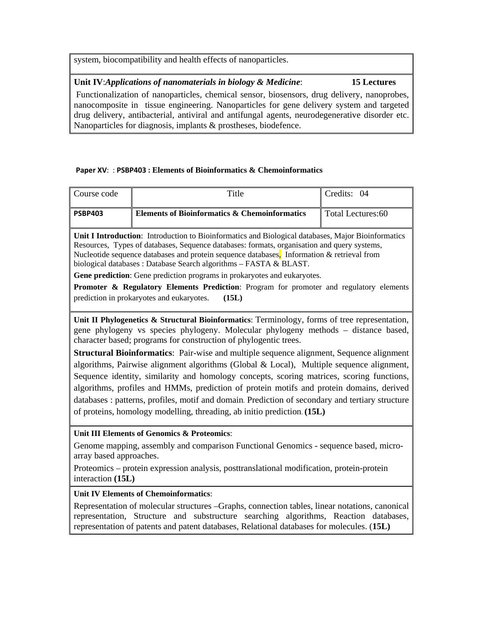system, biocompatibility and health effects of nanoparticles.

# **Unit IV**:*Applications of nanomaterials in biology & Medicine*: **15 Lectures**

 Functionalization of nanoparticles, chemical sensor, biosensors, drug delivery, nanoprobes, nanocomposite in tissue engineering. Nanoparticles for gene delivery system and targeted drug delivery, antibacterial, antiviral and antifungal agents, neurodegenerative disorder etc. Nanoparticles for diagnosis, implants & prostheses, biodefence.

## **Paper XV**: : **PSBP403 : Elements of Bioinformatics & Chemoinformatics**

| Course code    | Title                                                                                                                                                                                                                                                                                                                                                                                                                                                                                                                                                                                                                       | Credits: 04       |
|----------------|-----------------------------------------------------------------------------------------------------------------------------------------------------------------------------------------------------------------------------------------------------------------------------------------------------------------------------------------------------------------------------------------------------------------------------------------------------------------------------------------------------------------------------------------------------------------------------------------------------------------------------|-------------------|
| <b>PSBP403</b> | <b>Elements of Bioinformatics &amp; Chemoinformatics</b>                                                                                                                                                                                                                                                                                                                                                                                                                                                                                                                                                                    | Total Lectures:60 |
|                | <b>Unit I Introduction:</b> Introduction to Bioinformatics and Biological databases, Major Bioinformatics<br>Resources, Types of databases, Sequence databases: formats, organisation and query systems,<br>Nucleotide sequence databases and protein sequence databases. Information & retrieval from<br>biological databases : Database Search algorithms - FASTA & BLAST.<br><b>Gene prediction:</b> Gene prediction programs in prokaryotes and eukaryotes.<br><b>Promoter &amp; Regulatory Elements Prediction:</b> Program for promoter and regulatory elements<br>prediction in prokaryotes and eukaryotes.<br>(15L) |                   |

**Unit II Phylogenetics & Structural Bioinformatics**: Terminology, forms of tree representation, gene phylogeny vs species phylogeny. Molecular phylogeny methods – distance based, character based; programs for construction of phylogentic trees.

**Structural Bioinformatics**: Pair-wise and multiple sequence alignment, Sequence alignment algorithms, Pairwise alignment algorithms (Global & Local), Multiple sequence alignment, Sequence identity, similarity and homology concepts, scoring matrices, scoring functions, algorithms, profiles and HMMs, prediction of protein motifs and protein domains, derived databases : patterns, profiles, motif and domain. Prediction of secondary and tertiary structure of proteins, homology modelling, threading, ab initio prediction. **(15L)**

# **Unit III Elements of Genomics & Proteomics**:

Genome mapping, assembly and comparison Functional Genomics - sequence based, microarray based approaches.

Proteomics – protein expression analysis, posttranslational modification, protein-protein interaction **(15L)**

## **Unit IV Elements of Chemoinformatics**:

Representation of molecular structures –Graphs, connection tables, linear notations, canonical representation, Structure and substructure searching algorithms, Reaction databases, representation of patents and patent databases, Relational databases for molecules. (**15L)**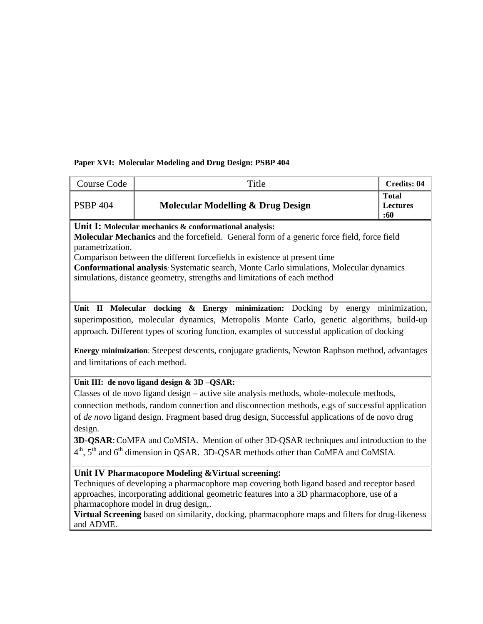# **Paper XVI: Molecular Modeling and Drug Design: PSBP 404**

| Course Code                                                                                                                                                                                                                                                                                                                                                                                                                                                                                                                                                               | Title                                        | <b>Credits: 04</b>                     |  |  |
|---------------------------------------------------------------------------------------------------------------------------------------------------------------------------------------------------------------------------------------------------------------------------------------------------------------------------------------------------------------------------------------------------------------------------------------------------------------------------------------------------------------------------------------------------------------------------|----------------------------------------------|----------------------------------------|--|--|
| <b>PSBP 404</b>                                                                                                                                                                                                                                                                                                                                                                                                                                                                                                                                                           | <b>Molecular Modelling &amp; Drug Design</b> | <b>Total</b><br><b>Lectures</b><br>:60 |  |  |
| Unit I: Molecular mechanics & conformational analysis:<br><b>Molecular Mechanics</b> and the forcefield. General form of a generic force field, force field<br>parametrization.<br>Comparison between the different forcefields in existence at present time<br>Conformational analysis: Systematic search, Monte Carlo simulations, Molecular dynamics<br>simulations, distance geometry, strengths and limitations of each method                                                                                                                                       |                                              |                                        |  |  |
| Unit II Molecular docking & Energy minimization: Docking by energy minimization,<br>superimposition, molecular dynamics, Metropolis Monte Carlo, genetic algorithms, build-up<br>approach. Different types of scoring function, examples of successful application of docking<br>Energy minimization: Steepest descents, conjugate gradients, Newton Raphson method, advantages<br>and limitations of each method.                                                                                                                                                        |                                              |                                        |  |  |
| Unit III: de novo ligand design & 3D -QSAR:<br>Classes of de novo ligand design – active site analysis methods, whole-molecule methods,<br>connection methods, random connection and disconnection methods, e.gs of successful application<br>of de novo ligand design. Fragment based drug design, Successful applications of de novo drug<br>design.<br>3D-QSAR: CoMFA and CoMSIA. Mention of other 3D-QSAR techniques and introduction to the<br>4 <sup>th</sup> , 5 <sup>th</sup> and 6 <sup>th</sup> dimension in QSAR. 3D-QSAR methods other than CoMFA and CoMSIA. |                                              |                                        |  |  |
| Unit IV Pharmacopore Modeling & Virtual screening:<br>Techniques of developing a pharmacophore map covering both ligand based and receptor based<br>approaches, incorporating additional geometric features into a 3D pharmacophore, use of a<br>pharmacophore model in drug design,.<br>Virtual Screening based on similarity, docking, pharmacophore maps and filters for drug-likeness<br>and ADME.                                                                                                                                                                    |                                              |                                        |  |  |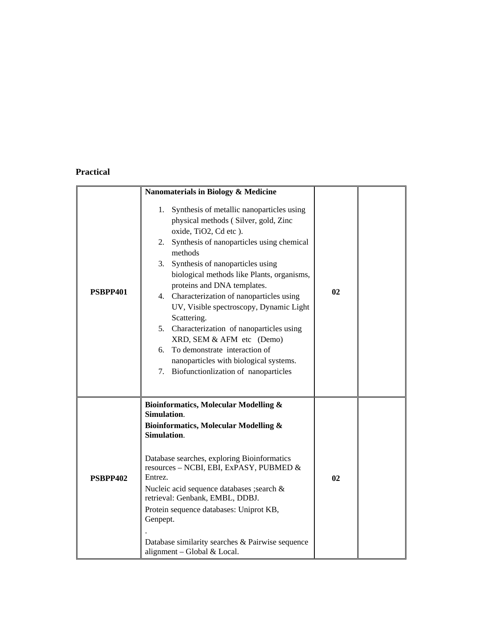# **Practical**

|                 | Nanomaterials in Biology & Medicine                                                                                                                                                                                                                                                                                                                                                                                                                                                                                                                                                                            |    |  |
|-----------------|----------------------------------------------------------------------------------------------------------------------------------------------------------------------------------------------------------------------------------------------------------------------------------------------------------------------------------------------------------------------------------------------------------------------------------------------------------------------------------------------------------------------------------------------------------------------------------------------------------------|----|--|
| PSBPP401        | 1. Synthesis of metallic nanoparticles using<br>physical methods (Silver, gold, Zinc<br>oxide, TiO2, Cd etc).<br>2. Synthesis of nanoparticles using chemical<br>methods<br>Synthesis of nanoparticles using<br>3.<br>biological methods like Plants, organisms,<br>proteins and DNA templates.<br>4. Characterization of nanoparticles using<br>UV, Visible spectroscopy, Dynamic Light<br>Scattering.<br>5. Characterization of nanoparticles using<br>XRD, SEM & AFM etc (Demo)<br>To demonstrate interaction of<br>6.<br>nanoparticles with biological systems.<br>7. Biofunctionlization of nanoparticles | 02 |  |
| <b>PSBPP402</b> | <b>Bioinformatics, Molecular Modelling &amp;</b><br>Simulation.<br><b>Bioinformatics, Molecular Modelling &amp;</b><br>Simulation.<br>Database searches, exploring Bioinformatics<br>resources - NCBI, EBI, ExPASY, PUBMED &<br>Entrez.<br>Nucleic acid sequence databases ; search &<br>retrieval: Genbank, EMBL, DDBJ.<br>Protein sequence databases: Uniprot KB,<br>Genpept.<br>Database similarity searches & Pairwise sequence<br>alignment - Global & Local.                                                                                                                                             | 02 |  |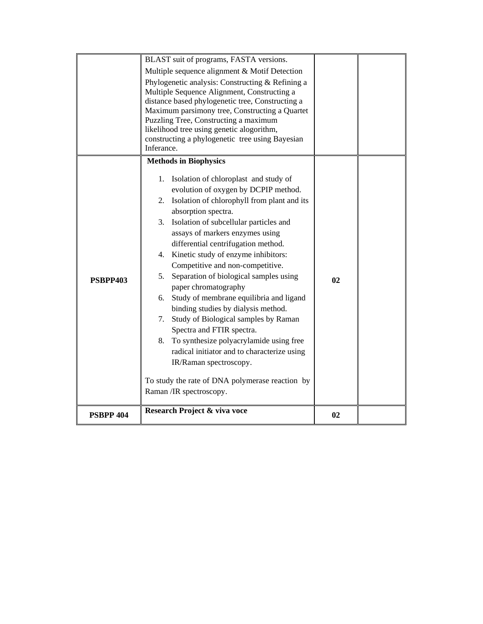|                  | BLAST suit of programs, FASTA versions.                                            |    |  |
|------------------|------------------------------------------------------------------------------------|----|--|
|                  | Multiple sequence alignment & Motif Detection                                      |    |  |
|                  | Phylogenetic analysis: Constructing & Refining a                                   |    |  |
|                  | Multiple Sequence Alignment, Constructing a                                        |    |  |
|                  | distance based phylogenetic tree, Constructing a                                   |    |  |
|                  | Maximum parsimony tree, Constructing a Quartet                                     |    |  |
|                  | Puzzling Tree, Constructing a maximum<br>likelihood tree using genetic alogorithm, |    |  |
|                  | constructing a phylogenetic tree using Bayesian                                    |    |  |
|                  | Inferance.                                                                         |    |  |
|                  | <b>Methods in Biophysics</b>                                                       |    |  |
|                  |                                                                                    |    |  |
| <b>PSBPP403</b>  | Isolation of chloroplast and study of<br>1.                                        |    |  |
|                  | evolution of oxygen by DCPIP method.                                               |    |  |
|                  | 2. Isolation of chlorophyll from plant and its                                     |    |  |
|                  | absorption spectra.                                                                |    |  |
|                  | 3. Isolation of subcellular particles and                                          |    |  |
|                  | assays of markers enzymes using                                                    |    |  |
|                  | differential centrifugation method.                                                |    |  |
|                  | 4. Kinetic study of enzyme inhibitors:                                             |    |  |
|                  | Competitive and non-competitive.                                                   |    |  |
|                  | Separation of biological samples using<br>5.<br>paper chromatography               | 02 |  |
|                  | Study of membrane equilibria and ligand<br>6.                                      |    |  |
|                  | binding studies by dialysis method.                                                |    |  |
|                  | 7.<br>Study of Biological samples by Raman                                         |    |  |
|                  | Spectra and FTIR spectra.                                                          |    |  |
|                  | 8. To synthesize polyacrylamide using free                                         |    |  |
|                  | radical initiator and to characterize using                                        |    |  |
|                  | IR/Raman spectroscopy.                                                             |    |  |
|                  |                                                                                    |    |  |
|                  | To study the rate of DNA polymerase reaction by                                    |    |  |
|                  | Raman /IR spectroscopy.                                                            |    |  |
| <b>PSBPP 404</b> | Research Project & viva voce                                                       | 02 |  |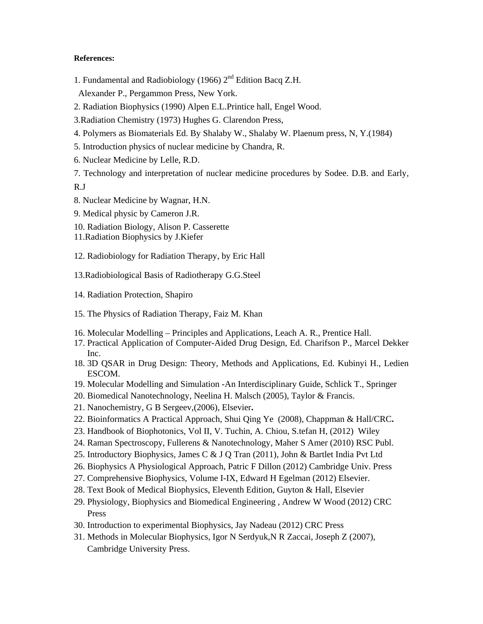#### **References:**

1. Fundamental and Radiobiology (1966)  $2<sup>nd</sup>$  Edition Bacq Z.H.

Alexander P., Pergammon Press, New York.

- 2. Radiation Biophysics (1990) Alpen E.L.Printice hall, Engel Wood.
- 3.Radiation Chemistry (1973) Hughes G. Clarendon Press,
- 4. Polymers as Biomaterials Ed. By Shalaby W., Shalaby W. Plaenum press, N, Y.(1984)
- 5. Introduction physics of nuclear medicine by Chandra, R.
- 6. Nuclear Medicine by Lelle, R.D.
- 7. Technology and interpretation of nuclear medicine procedures by Sodee. D.B. and Early, R.J
- 8. Nuclear Medicine by Wagnar, H.N.
- 9. Medical physic by Cameron J.R.
- 10. Radiation Biology, Alison P. Casserette
- 11.Radiation Biophysics by J.Kiefer
- 12. Radiobiology for Radiation Therapy, by Eric Hall
- 13.Radiobiological Basis of Radiotherapy G.G.Steel
- 14. Radiation Protection, Shapiro
- 15. The Physics of Radiation Therapy, Faiz M. Khan
- 16. Molecular Modelling Principles and Applications, Leach A. R., Prentice Hall.
- 17. Practical Application of Computer-Aided Drug Design, Ed. Charifson P., Marcel Dekker Inc.
- 18. 3D QSAR in Drug Design: Theory, Methods and Applications, Ed. Kubinyi H., Ledien ESCOM.
- 19. Molecular Modelling and Simulation -An Interdisciplinary Guide, Schlick T., Springer
- 20. Biomedical Nanotechnology, Neelina H. Malsch (2005), Taylor & Francis.
- 21. Nanochemistry, G B Sergeev,(2006), Elsevier**.**
- 22. Bioinformatics A Practical Approach, Shui Qing Ye (2008), Chappman & Hall/CRC**.**
- 23. Handbook of Biophotonics, Vol II, V. Tuchin, A. Chiou, S.tefan H, (2012) Wiley
- 24. Raman Spectroscopy, Fullerens & Nanotechnology, Maher S Amer (2010) RSC Publ.
- 25. Introductory Biophysics, James C & J Q Tran (2011), John & Bartlet India Pvt Ltd
- 26. Biophysics A Physiological Approach, Patric F Dillon (2012) Cambridge Univ. Press
- 27. Comprehensive Biophysics, Volume I-IX, Edward H Egelman (2012) Elsevier.
- 28. Text Book of Medical Biophysics, Eleventh Edition, Guyton & Hall, Elsevier
- 29. Physiology, Biophysics and Biomedical Engineering , Andrew W Wood (2012) CRC Press
- 30. Introduction to experimental Biophysics, Jay Nadeau (2012) CRC Press
- 31. Methods in Molecular Biophysics, Igor N Serdyuk,N R Zaccai, Joseph Z (2007), Cambridge University Press.